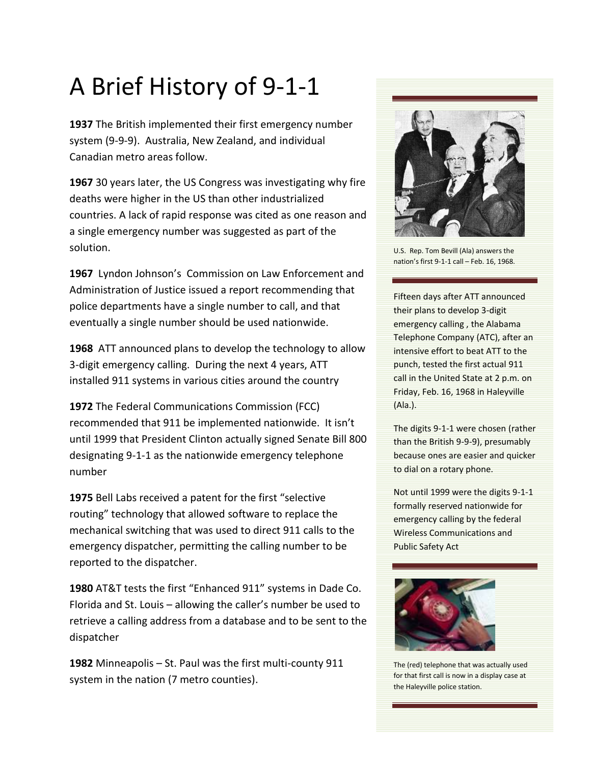## A Brief History of 9-1-1

**1937** The British implemented their first emergency number system (9-9-9). Australia, New Zealand, and individual Canadian metro areas follow.

**1967** 30 years later, the US Congress was investigating why fire deaths were higher in the US than other industrialized countries. A lack of rapid response was cited as one reason and a single emergency number was suggested as part of the solution.

**1967** Lyndon Johnson's Commission on Law Enforcement and Administration of Justice issued a report recommending that police departments have a single number to call, and that eventually a single number should be used nationwide.

**1968** ATT announced plans to develop the technology to allow 3-digit emergency calling. During the next 4 years, ATT installed 911 systems in various cities around the country

**1972** The Federal Communications Commission (FCC) recommended that 911 be implemented nationwide. It isn't until 1999 that President Clinton actually signed Senate Bill 800 designating 9-1-1 as the nationwide emergency telephone number

**1975** Bell Labs received a patent for the first "selective routing" technology that allowed software to replace the mechanical switching that was used to direct 911 calls to the emergency dispatcher, permitting the calling number to be reported to the dispatcher.

**1980** AT&T tests the first "Enhanced 911" systems in Dade Co. Florida and St. Louis – allowing the caller's number be used to retrieve a calling address from a database and to be sent to the dispatcher

**1982** Minneapolis – St. Paul was the first multi-county 911 system in the nation (7 metro counties).



U.S. Rep. Tom Bevill (Ala) answers the nation's first 9-1-1 call – Feb. 16, 1968.

Fifteen days after ATT announced their plans to develop 3-digit emergency calling , the Alabama Telephone Company (ATC), after an intensive effort to beat ATT to the punch, tested the first actual 911 call in the United State at 2 p.m. on Friday, Feb. 16, 1968 in Haleyville (Ala.).

The digits 9-1-1 were chosen (rather than the British 9-9-9), presumably because ones are easier and quicker to dial on a rotary phone.

Not until 1999 were the digits 9-1-1 formally reserved nationwide for emergency calling by the federal Wireless Communications and Public Safety Act



The (red) telephone that was actually used for that first call is now in a display case at the Haleyville police station.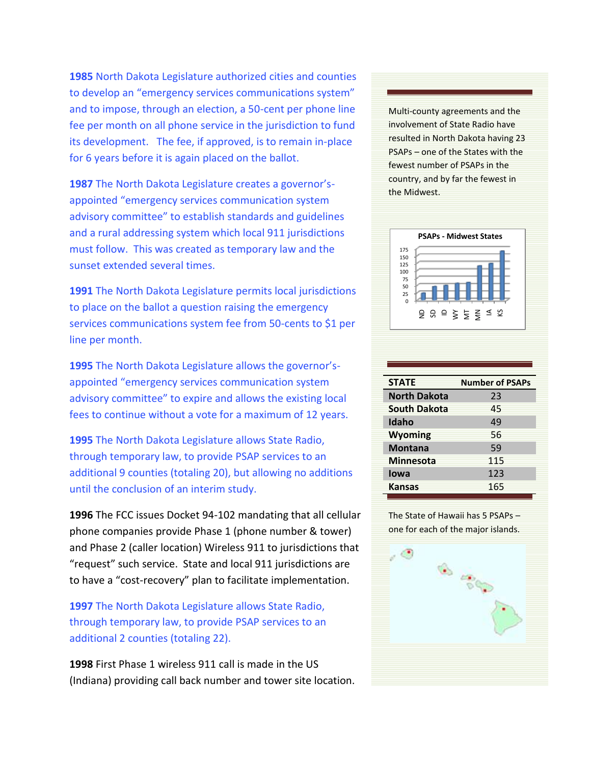**1985** North Dakota Legislature authorized cities and counties to develop an "emergency services communications system" and to impose, through an election, a 50-cent per phone line fee per month on all phone service in the jurisdiction to fund its development. The fee, if approved, is to remain in-place for 6 years before it is again placed on the ballot.

**1987** The North Dakota Legislature creates a governor'sappointed "emergency services communication system advisory committee" to establish standards and guidelines and a rural addressing system which local 911 jurisdictions must follow. This was created as temporary law and the sunset extended several times.

**1991** The North Dakota Legislature permits local jurisdictions to place on the ballot a question raising the emergency services communications system fee from 50-cents to \$1 per line per month.

**1995** The North Dakota Legislature allows the governor'sappointed "emergency services communication system advisory committee" to expire and allows the existing local fees to continue without a vote for a maximum of 12 years.

**1995** The North Dakota Legislature allows State Radio, through temporary law, to provide PSAP services to an additional 9 counties (totaling 20), but allowing no additions until the conclusion of an interim study.

**1996** The FCC issues Docket 94-102 mandating that all cellular phone companies provide Phase 1 (phone number & tower) and Phase 2 (caller location) Wireless 911 to jurisdictions that "request" such service. State and local 911 jurisdictions are to have a "cost-recovery" plan to facilitate implementation.

**1997** The North Dakota Legislature allows State Radio, through temporary law, to provide PSAP services to an additional 2 counties (totaling 22).

**1998** First Phase 1 wireless 911 call is made in the US (Indiana) providing call back number and tower site location. Multi-county agreements and the involvement of State Radio have resulted in North Dakota having 23 PSAPs – one of the States with the fewest number of PSAPs in the country, and by far the fewest in the Midwest.



| <b>STATE</b>        | <b>Number of PSAPs</b> |
|---------------------|------------------------|
| <b>North Dakota</b> | 23                     |
| <b>South Dakota</b> | 45                     |
| Idaho               | 49                     |
| <b>Wyoming</b>      | 56                     |
| <b>Montana</b>      | 59                     |
| <b>Minnesota</b>    | 115                    |
| lowa                | 123                    |
| <b>Kansas</b>       | 165                    |

The State of Hawaii has 5 PSAPs – one for each of the major islands.

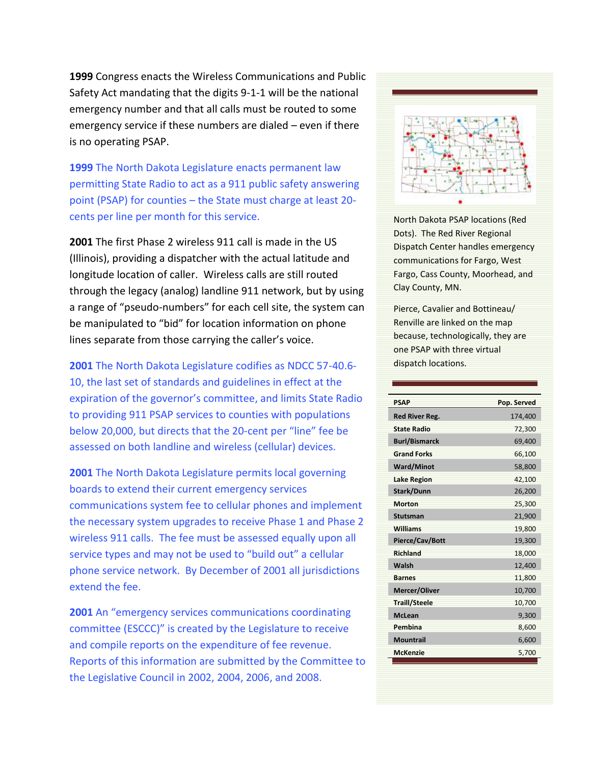**1999** Congress enacts the Wireless Communications and Public Safety Act mandating that the digits 9-1-1 will be the national emergency number and that all calls must be routed to some emergency service if these numbers are dialed – even if there is no operating PSAP.

**1999** The North Dakota Legislature enacts permanent law permitting State Radio to act as a 911 public safety answering point (PSAP) for counties – the State must charge at least 20 cents per line per month for this service.

**2001** The first Phase 2 wireless 911 call is made in the US (Illinois), providing a dispatcher with the actual latitude and longitude location of caller. Wireless calls are still routed through the legacy (analog) landline 911 network, but by using a range of "pseudo-numbers" for each cell site, the system can be manipulated to "bid" for location information on phone lines separate from those carrying the caller's voice.

**2001** The North Dakota Legislature codifies as NDCC 57-40.6- 10, the last set of standards and guidelines in effect at the expiration of the governor's committee, and limits State Radio to providing 911 PSAP services to counties with populations below 20,000, but directs that the 20-cent per "line" fee be assessed on both landline and wireless (cellular) devices.

**2001** The North Dakota Legislature permits local governing boards to extend their current emergency services communications system fee to cellular phones and implement the necessary system upgrades to receive Phase 1 and Phase 2 wireless 911 calls. The fee must be assessed equally upon all service types and may not be used to "build out" a cellular phone service network. By December of 2001 all jurisdictions extend the fee.

**2001** An "emergency services communications coordinating committee (ESCCC)" is created by the Legislature to receive and compile reports on the expenditure of fee revenue. Reports of this information are submitted by the Committee to the Legislative Council in 2002, 2004, 2006, and 2008.



North Dakota PSAP locations (Red Dots). The Red River Regional Dispatch Center handles emergency communications for Fargo, West Fargo, Cass County, Moorhead, and Clay County, MN.

Pierce, Cavalier and Bottineau/ Renville are linked on the map because, technologically, they are one PSAP with three virtual dispatch locations.

| <b>PSAP</b>           | Pop. Served |
|-----------------------|-------------|
| <b>Red River Reg.</b> | 174,400     |
| <b>State Radio</b>    | 72,300      |
| <b>Burl/Bismarck</b>  | 69,400      |
| <b>Grand Forks</b>    | 66,100      |
| <b>Ward/Minot</b>     | 58,800      |
| <b>Lake Region</b>    | 42,100      |
| Stark/Dunn            | 26,200      |
| <b>Morton</b>         | 25,300      |
| <b>Stutsman</b>       | 21,900      |
| Williams              | 19,800      |
| Pierce/Cav/Bott       | 19,300      |
| <b>Richland</b>       | 18,000      |
| Walsh                 | 12,400      |
| <b>Barnes</b>         | 11,800      |
| Mercer/Oliver         | 10,700      |
| <b>Traill/Steele</b>  | 10,700      |
| <b>McLean</b>         | 9,300       |
| Pembina               | 8,600       |
| Mountrail             | 6,600       |
| <b>McKenzie</b>       | 5,700       |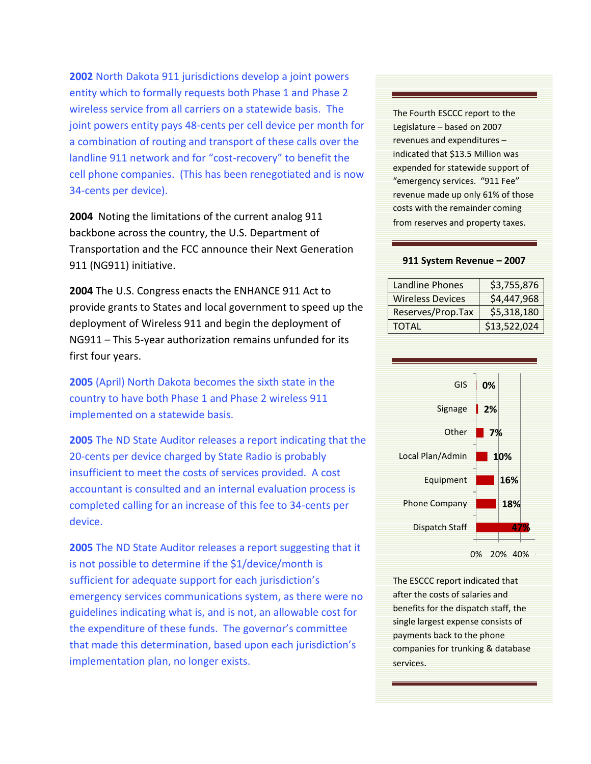**2002** North Dakota 911 jurisdictions develop a joint powers entity which to formally requests both Phase 1 and Phase 2 wireless service from all carriers on a statewide basis. The joint powers entity pays 48-cents per cell device per month for a combination of routing and transport of these calls over the landline 911 network and for "cost-recovery" to benefit the cell phone companies. (This has been renegotiated and is now 34-cents per device).

**2004** Noting the limitations of the current analog 911 backbone across the country, the U.S. Department of Transportation and the FCC announce their Next Generation 911 (NG911) initiative.

**2004** The U.S. Congress enacts the ENHANCE 911 Act to provide grants to States and local government to speed up the deployment of Wireless 911 and begin the deployment of NG911 – This 5-year authorization remains unfunded for its first four years.

**2005** (April) North Dakota becomes the sixth state in the country to have both Phase 1 and Phase 2 wireless 911 implemented on a statewide basis.

**2005** The ND State Auditor releases a report indicating that the 20-cents per device charged by State Radio is probably insufficient to meet the costs of services provided. A cost accountant is consulted and an internal evaluation process is completed calling for an increase of this fee to 34-cents per device.

**2005** The ND State Auditor releases a report suggesting that it is not possible to determine if the \$1/device/month is sufficient for adequate support for each jurisdiction's emergency services communications system, as there were no guidelines indicating what is, and is not, an allowable cost for the expenditure of these funds. The governor's committee that made this determination, based upon each jurisdiction's implementation plan, no longer exists.

The Fourth ESCCC report to the Legislature – based on 2007 revenues and expenditures – indicated that \$13.5 Million was expended for statewide support of "emergency services. "911 Fee" revenue made up only 61% of those costs with the remainder coming from reserves and property taxes.

## **911 System Revenue – 2007**

| <b>Landline Phones</b>  | \$3,755,876  |
|-------------------------|--------------|
| <b>Wireless Devices</b> | \$4,447,968  |
| Reserves/Prop.Tax       | \$5,318,180  |
| <b>TOTAL</b>            | \$13,522,024 |



The ESCCC report indicated that after the costs of salaries and benefits for the dispatch staff, the single largest expense consists of payments back to the phone companies for trunking & database services.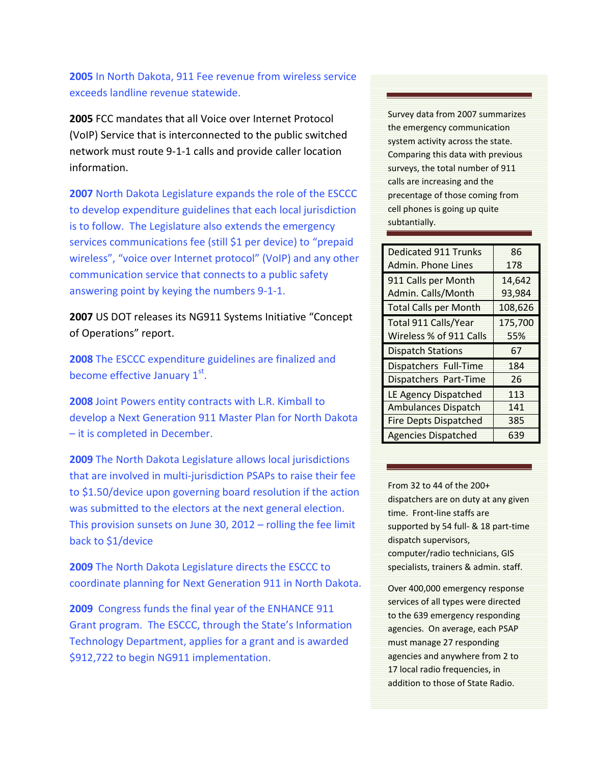**2005** In North Dakota, 911 Fee revenue from wireless service exceeds landline revenue statewide.

**2005** FCC mandates that all Voice over Internet Protocol (VoIP) Service that is interconnected to the public switched network must route 9-1-1 calls and provide caller location information.

**2007** North Dakota Legislature expands the role of the ESCCC to develop expenditure guidelines that each local jurisdiction is to follow. The Legislature also extends the emergency services communications fee (still \$1 per device) to "prepaid wireless", "voice over Internet protocol" (VoIP) and any other communication service that connects to a public safety answering point by keying the numbers 9-1-1.

**2007** US DOT releases its NG911 Systems Initiative "Concept of Operations" report.

**2008** The ESCCC expenditure guidelines are finalized and become effective January 1st.

**2008** Joint Powers entity contracts with L.R. Kimball to develop a Next Generation 911 Master Plan for North Dakota – it is completed in December.

**2009** The North Dakota Legislature allows local jurisdictions that are involved in multi-jurisdiction PSAPs to raise their fee to \$1.50/device upon governing board resolution if the action was submitted to the electors at the next general election. This provision sunsets on June 30, 2012 – rolling the fee limit back to \$1/device

**2009** The North Dakota Legislature directs the ESCCC to coordinate planning for Next Generation 911 in North Dakota.

**2009** Congress funds the final year of the ENHANCE 911 Grant program. The ESCCC, through the State's Information Technology Department, applies for a grant and is awarded \$912,722 to begin NG911 implementation.

Survey data from 2007 summarizes the emergency communication system activity across the state. Comparing this data with previous surveys, the total number of 911 calls are increasing and the precentage of those coming from cell phones is going up quite subtantially.

| <b>Dedicated 911 Trunks</b>  | 86      |
|------------------------------|---------|
| Admin. Phone Lines           | 178     |
| 911 Calls per Month          | 14,642  |
| Admin. Calls/Month           | 93,984  |
| <b>Total Calls per Month</b> | 108,626 |
| Total 911 Calls/Year         | 175,700 |
| Wireless % of 911 Calls      | 55%     |
|                              |         |
| <b>Dispatch Stations</b>     | 67      |
| Dispatchers Full-Time        | 184     |
| Dispatchers Part-Time        | 26      |
| <b>LE Agency Dispatched</b>  | 113     |
| <b>Ambulances Dispatch</b>   | 141     |
| <b>Fire Depts Dispatched</b> | 385     |

From 32 to 44 of the 200+ dispatchers are on duty at any given time. Front-line staffs are supported by 54 full- & 18 part-time dispatch supervisors, computer/radio technicians, GIS specialists, trainers & admin. staff.

Over 400,000 emergency response services of all types were directed to the 639 emergency responding agencies. On average, each PSAP must manage 27 responding agencies and anywhere from 2 to 17 local radio frequencies, in addition to those of State Radio.